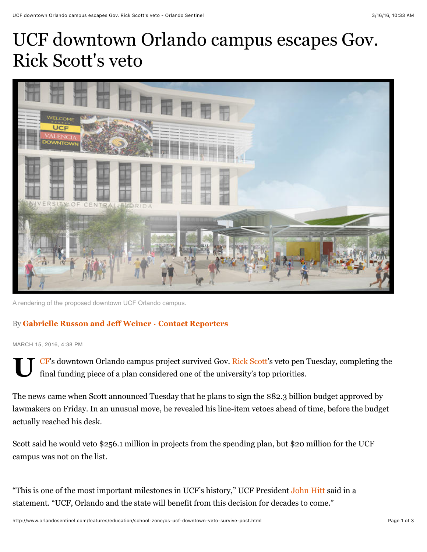## UCF downtown Orlando campus escapes Gov. Rick Scott's veto



A rendering of the proposed downtown UCF Orlando campus.

## By **[Gabrielle Russon](http://www.orlandosentinel.com/os-gabrielle-russon-bio-20141205-staff.html#nt=byline) and [Jeff Weiner](http://www.orlandosentinel.com/os-jeff-weiner-bio-20140716-staff.html#nt=byline)** • **[Contact Reporters](mailto:grusson@orlandosentinel.com,jeweiner@tribune.com?subject=Regarding:%20%22UCF%20downtown%20Orlando%20campus%20escapes%20Gov.%20Rick%20Scott)**

MARCH 15, 2016, 4:38 PM

**[U](http://www.orlandosentinel.com/sports/college/knights/)** CF's downtown Orlando campus project survived Gov. [Rick Scott](http://www.orlandosentinel.com/topic/politics-government/government/rick-scott-PEPLT00007609-topic.html)'s veto pen Tuesday, completing the final funding piece of a plan considered one of the university's top priorities.

The news came when Scott announced Tuesday that he plans to sign the \$82.3 billion budget approved by lawmakers on Friday. In an unusual move, he revealed his line-item vetoes ahead of time, before the budget actually reached his desk.

Scott said he would veto \$256.1 million in projects from the spending plan, but \$20 million for the UCF campus was not on the list.

"This is one of the most important milestones in UCF's history," UCF President [John Hitt](http://www.orlandosentinel.com/topic/education/colleges-universities/john-hitt-PEBSL000176-topic.html) said in a statement. "UCF, Orlando and the state will benefit from this decision for decades to come."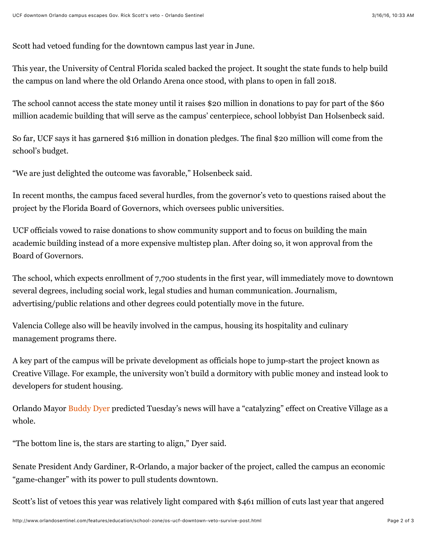Scott had vetoed funding for the downtown campus last year in June.

This year, the University of Central Florida scaled backed the project. It sought the state funds to help build the campus on land where the old Orlando Arena once stood, with plans to open in fall 2018.

The school cannot access the state money until it raises \$20 million in donations to pay for part of the \$60 million academic building that will serve as the campus' centerpiece, school lobbyist Dan Holsenbeck said.

So far, UCF says it has garnered \$16 million in donation pledges. The final \$20 million will come from the school's budget.

"We are just delighted the outcome was favorable," Holsenbeck said.

In recent months, the campus faced several hurdles, from the governor's veto to questions raised about the project by the Florida Board of Governors, which oversees public universities.

UCF officials vowed to raise donations to show community support and to focus on building the main academic building instead of a more expensive multistep plan. After doing so, it won approval from the Board of Governors.

The school, which expects enrollment of 7,700 students in the first year, will immediately move to downtown several degrees, including social work, legal studies and human communication. Journalism, advertising/public relations and other degrees could potentially move in the future.

Valencia College also will be heavily involved in the campus, housing its hospitality and culinary management programs there.

A key part of the campus will be private development as officials hope to jump-start the project known as Creative Village. For example, the university won't build a dormitory with public money and instead look to developers for student housing.

Orlando Mayor [Buddy Dyer](http://www.orlandosentinel.com/topic/politics-government/buddy-dyer-PEPLT007417-topic.html) predicted Tuesday's news will have a "catalyzing" effect on Creative Village as a whole.

"The bottom line is, the stars are starting to align," Dyer said.

Senate President Andy Gardiner, R-Orlando, a major backer of the project, called the campus an economic "game-changer" with its power to pull students downtown.

Scott's list of vetoes this year was relatively light compared with \$461 million of cuts last year that angered